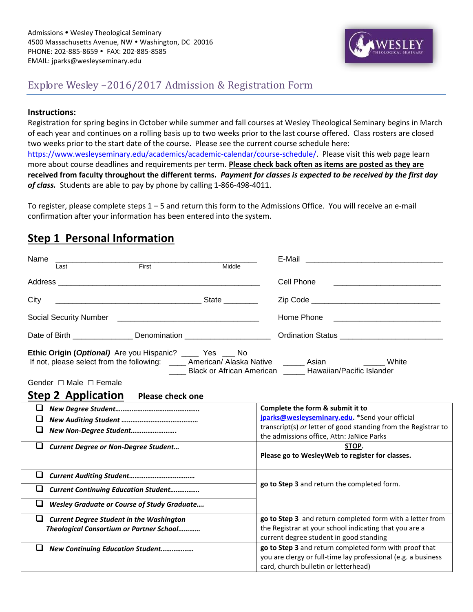

## Explore Wesley –2016/2017 Admission & Registration Form

#### **Instructions:**

Registration for spring begins in October while summer and fall courses at Wesley Theological Seminary begins in March of each year and continues on a rolling basis up to two weeks prior to the last course offered. Class rosters are closed two weeks prior to the start date of the course. Please see the current course schedule here: [https://www.wesleyseminary.edu/academics/academic-calendar/course-schedule/.](https://www.wesleyseminary.edu/academics/academic-calendar/course-schedule/) Please visit this web page learn more about course deadlines and requirements per term. **Please check back often as items are posted as they are received from faculty throughout the different terms.** *Payment for classes is expected to be received by the first day of class.* Students are able to pay by phone by calling 1-866-498-4011.

To register, please complete steps 1 – 5 and return this form to the Admissions Office. You will receive an e-mail confirmation after your information has been entered into the system.

### **Step 1 Personal Information**

| Name<br>First<br>Last                                                                                                                                                                                                                                                                                                                    | Middle | E-Mail                                                         |  |  |
|------------------------------------------------------------------------------------------------------------------------------------------------------------------------------------------------------------------------------------------------------------------------------------------------------------------------------------------|--------|----------------------------------------------------------------|--|--|
|                                                                                                                                                                                                                                                                                                                                          |        | Cell Phone                                                     |  |  |
| City                                                                                                                                                                                                                                                                                                                                     |        |                                                                |  |  |
|                                                                                                                                                                                                                                                                                                                                          |        |                                                                |  |  |
| Date of Birth __________________ Denomination __________________________________                                                                                                                                                                                                                                                         |        | Ordination Status _______________________________              |  |  |
| <b>Ethic Origin (Optional)</b> Are you Hispanic? _____ Yes ____ No<br>If not, please select from the following: _____ American/ Alaska Native ______ Asian ______<br>White<br>____ Black or African American _____ Hawaiian/Pacific Islander<br>Gender $\Box$ Male $\Box$ Female<br><b>Step 2 Application</b><br><b>Please check one</b> |        |                                                                |  |  |
| u.                                                                                                                                                                                                                                                                                                                                       |        | Complete the form & submit it to                               |  |  |
| ⊔                                                                                                                                                                                                                                                                                                                                        |        | jparks@wesleyseminary.edu. *Send your official                 |  |  |
| ❏<br>New Non-Degree Student                                                                                                                                                                                                                                                                                                              |        | transcript(s) or letter of good standing from the Registrar to |  |  |
|                                                                                                                                                                                                                                                                                                                                          |        | the admissions office, Attn: JaNice Parks                      |  |  |
| $\Box$<br><b>Current Degree or Non-Degree Student</b>                                                                                                                                                                                                                                                                                    |        | STOP.                                                          |  |  |
|                                                                                                                                                                                                                                                                                                                                          |        | Please go to WesleyWeb to register for classes.                |  |  |
| u                                                                                                                                                                                                                                                                                                                                        |        | go to Step 3 and return the completed form.                    |  |  |
| ⊔<br><b>Current Continuing Education Student</b>                                                                                                                                                                                                                                                                                         |        |                                                                |  |  |
| ❏<br><b>Wesley Graduate or Course of Study Graduate</b>                                                                                                                                                                                                                                                                                  |        |                                                                |  |  |
| ❏<br><b>Current Degree Student in the Washington</b>                                                                                                                                                                                                                                                                                     |        | go to Step 3 and return completed form with a letter from      |  |  |
| Theological Consortium or Partner School                                                                                                                                                                                                                                                                                                 |        | the Registrar at your school indicating that you are a         |  |  |
|                                                                                                                                                                                                                                                                                                                                          |        | current degree student in good standing                        |  |  |
| ⊔<br><b>New Continuing Education Student</b>                                                                                                                                                                                                                                                                                             |        | go to Step 3 and return completed form with proof that         |  |  |
|                                                                                                                                                                                                                                                                                                                                          |        | you are clergy or full-time lay professional (e.g. a business  |  |  |
|                                                                                                                                                                                                                                                                                                                                          |        | card, church bulletin or letterhead)                           |  |  |